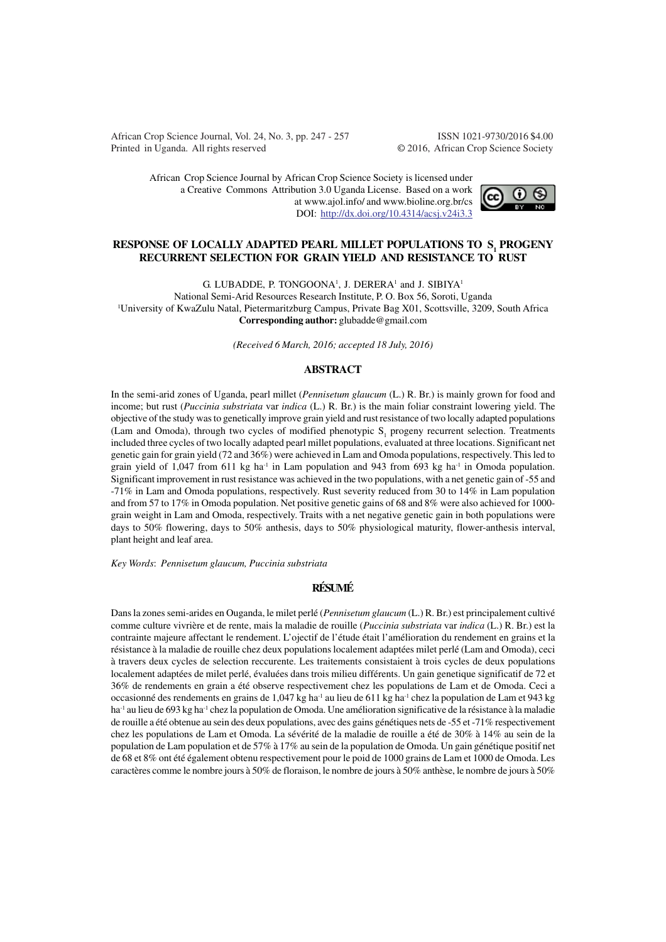African Crop Science Journal, Vol. 24, No. 3, pp. 247 - 257 ISSN 1021-9730/2016 \$4.00 Printed in Uganda. All rights reserved © 2016, African Crop Science Society

African Crop Science Journal by African Crop Science Society is licensed under a Creative Commons Attribution 3.0 Uganda License. Based on a work at www.ajol.info/ and www.bioline.org.br/cs DOI: http://dx.doi.org/10.4314/acsj.v24i3.3



## **RESPONSE OF LOCALLY ADAPTED PEARL MILLET POPULATIONS TO S1 PROGENY RECURRENT SELECTION FOR GRAIN YIELD AND RESISTANCE TO RUST**

G. LUBADDE, P. TONGOONA<sup>1</sup>, J. DERERA<sup>1</sup> and J. SIBIYA<sup>1</sup>

National Semi-Arid Resources Research Institute, P. O. Box 56, Soroti, Uganda <sup>1</sup>University of KwaZulu Natal, Pietermaritzburg Campus, Private Bag X01, Scottsville, 3209, South Africa **Corresponding author:** glubadde@gmail.com

*(Received 6 March, 2016; accepted 18 July, 2016)*

### **ABSTRACT**

In the semi-arid zones of Uganda, pearl millet (*Pennisetum glaucum* (L.) R. Br.) is mainly grown for food and income; but rust (*Puccinia substriata* var *indica* (L.) R. Br.) is the main foliar constraint lowering yield. The objective of the study was to genetically improve grain yield and rust resistance of two locally adapted populations (Lam and Omoda), through two cycles of modified phenotypic  $S<sub>1</sub>$  progeny recurrent selection. Treatments included three cycles of two locally adapted pearl millet populations, evaluated at three locations. Significant net genetic gain for grain yield (72 and 36%) were achieved in Lam and Omoda populations, respectively. This led to grain yield of 1,047 from 611 kg ha<sup>-1</sup> in Lam population and 943 from 693 kg ha<sup>-1</sup> in Omoda population. Significant improvement in rust resistance was achieved in the two populations, with a net genetic gain of -55 and -71% in Lam and Omoda populations, respectively. Rust severity reduced from 30 to 14% in Lam population and from 57 to 17% in Omoda population. Net positive genetic gains of 68 and 8% were also achieved for 1000 grain weight in Lam and Omoda, respectively. Traits with a net negative genetic gain in both populations were days to 50% flowering, days to 50% anthesis, days to 50% physiological maturity, flower-anthesis interval, plant height and leaf area.

*Key Words*: *Pennisetum glaucum, Puccinia substriata*

# **RÉSUMÉ**

Dans la zones semi-arides en Ouganda, le milet perlé (*Pennisetum glaucum* (L.) R. Br.) est principalement cultivé comme culture vivrière et de rente, mais la maladie de rouille (*Puccinia substriata* var *indica* (L.) R. Br.) est la contrainte majeure affectant le rendement. L'ojectif de l'étude était l'amélioration du rendement en grains et la résistance à la maladie de rouille chez deux populations localement adaptées milet perlé (Lam and Omoda), ceci à travers deux cycles de selection reccurente. Les traitements consistaient à trois cycles de deux populations localement adaptées de milet perlé, évaluées dans trois milieu différents. Un gain genetique significatif de 72 et 36% de rendements en grain a été observe respectivement chez les populations de Lam et de Omoda. Ceci a occasionné des rendements en grains de 1,047 kg ha-1 au lieu de 611 kg ha-1 chez la population de Lam et 943 kg ha<sup>-1</sup> au lieu de 693 kg ha<sup>-1</sup> chez la population de Omoda. Une amélioration significative de la résistance à la maladie de rouille a été obtenue au sein des deux populations, avec des gains génétiques nets de -55 et -71% respectivement chez les populations de Lam et Omoda. La sévérité de la maladie de rouille a été de 30% à 14% au sein de la population de Lam population et de 57% à 17% au sein de la population de Omoda. Un gain génétique positif net de 68 et 8% ont été également obtenu respectivement pour le poid de 1000 grains de Lam et 1000 de Omoda. Les caractères comme le nombre jours à 50% de floraison, le nombre de jours à 50% anthèse, le nombre de jours à 50%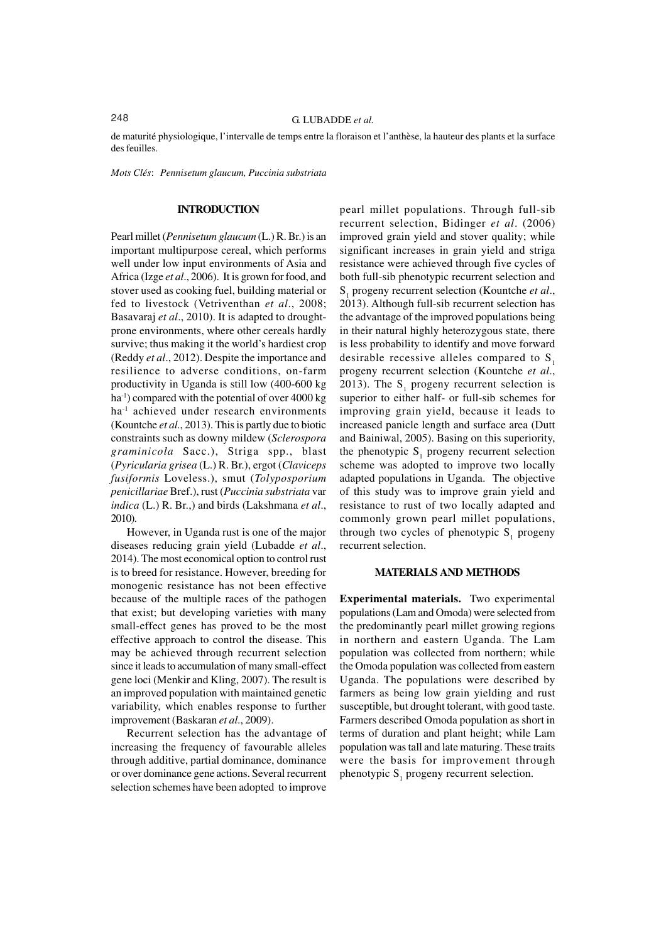de maturité physiologique, l'intervalle de temps entre la floraison et l'anthèse, la hauteur des plants et la surface des feuilles.

*Mots Clés*: *Pennisetum glaucum, Puccinia substriata*

#### **INTRODUCTION**

Pearl millet (*Pennisetum glaucum* (L.) R. Br.) is an important multipurpose cereal, which performs well under low input environments of Asia and Africa (Izge *et al*., 2006). It is grown for food, and stover used as cooking fuel, building material or fed to livestock (Vetriventhan *et al*., 2008; Basavaraj *et al*., 2010). It is adapted to droughtprone environments, where other cereals hardly survive; thus making it the world's hardiest crop (Reddy *et al*., 2012). Despite the importance and resilience to adverse conditions, on-farm productivity in Uganda is still low (400-600 kg ha<sup>-1</sup>) compared with the potential of over 4000 kg ha<sup>-1</sup> achieved under research environments (Kountche *et al.*, 2013). This is partly due to biotic constraints such as downy mildew (*Sclerospora graminicola* Sacc.), Striga spp., blast (*Pyricularia grisea* (L.) R. Br.), ergot (*Claviceps fusiformis* Loveless.), smut (*Tolyposporium penicillariae* Bref.), rust (*Puccinia substriata* var *indica* (L.) R. Br.,) and birds (Lakshmana *et al*., 2010).

However, in Uganda rust is one of the major diseases reducing grain yield (Lubadde *et al*., 2014). The most economical option to control rust is to breed for resistance. However, breeding for monogenic resistance has not been effective because of the multiple races of the pathogen that exist; but developing varieties with many small-effect genes has proved to be the most effective approach to control the disease. This may be achieved through recurrent selection since it leads to accumulation of many small-effect gene loci (Menkir and Kling, 2007). The result is an improved population with maintained genetic variability, which enables response to further improvement (Baskaran *et al*., 2009).

Recurrent selection has the advantage of increasing the frequency of favourable alleles through additive, partial dominance, dominance or over dominance gene actions. Several recurrent selection schemes have been adopted to improve

pearl millet populations. Through full-sib recurrent selection, Bidinger *et al*. (2006) improved grain yield and stover quality; while significant increases in grain yield and striga resistance were achieved through five cycles of both full-sib phenotypic recurrent selection and S1 progeny recurrent selection (Kountche *et al*., 2013). Although full-sib recurrent selection has the advantage of the improved populations being in their natural highly heterozygous state, there is less probability to identify and move forward desirable recessive alleles compared to  $S<sub>1</sub>$ progeny recurrent selection (Kountche *et al*., 2013). The  $S_1$  progeny recurrent selection is superior to either half- or full-sib schemes for improving grain yield, because it leads to increased panicle length and surface area (Dutt and Bainiwal, 2005). Basing on this superiority, the phenotypic  $S_1$  progeny recurrent selection scheme was adopted to improve two locally adapted populations in Uganda. The objective of this study was to improve grain yield and resistance to rust of two locally adapted and commonly grown pearl millet populations, through two cycles of phenotypic  $S_1$  progeny recurrent selection.

## **MATERIALS AND METHODS**

**Experimental materials.** Two experimental populations (Lam and Omoda) were selected from the predominantly pearl millet growing regions in northern and eastern Uganda. The Lam population was collected from northern; while the Omoda population was collected from eastern Uganda. The populations were described by farmers as being low grain yielding and rust susceptible, but drought tolerant, with good taste. Farmers described Omoda population as short in terms of duration and plant height; while Lam population was tall and late maturing. These traits were the basis for improvement through phenotypic  $S_1$  progeny recurrent selection.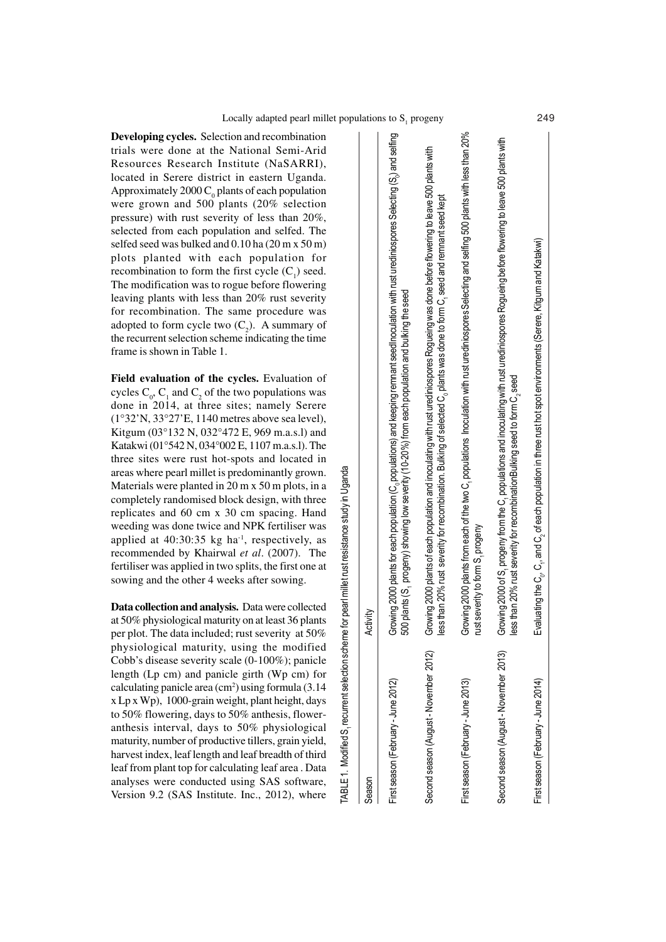TABLE 1. Modified S1 recurrent selection scheme for pearl millet rust resistance study in Uganda

'ABLE 1. Modified S,

recurrent selection scheme for pearl millet rust resistance study in Uganda

**Developing cycles.** Selection and recombination trials were done at the National Semi-Arid Resources Research Institute (NaSARRI), located in Serere district in eastern Uganda. Approximately 2000  $C_0$  plants of each population were grown and 500 plants (20% selection pressure) with rust severity of less than 20%, selected from each population and selfed. The selfed seed was bulked and 0.10 ha (20 m x 50 m) plots planted with each population for recombination to form the first cycle  $(C_1)$  seed. The modification was to rogue before flowering leaving plants with less than 20% rust severity for recombination. The same procedure was adopted to form cycle two  $(C_2)$ . A summary of the recurrent selection scheme indicating the time frame is shown in Table 1.

**Field evaluation of the cycles.** Evaluation of cycles  $C_0$ ,  $C_1$  and  $C_2$  of the two populations was done in 2014, at three sites; namely Serere (1°32'N, 33°27'E, 1140 metres above sea level), Kitgum (03°132 N, 032°472 E, 969 m.a.s.l) and Katakwi (01°542 N, 034°002 E, 1107 m.a.s.l). The three sites were rust hot-spots and located in areas where pearl millet is predominantly grown. Materials were planted in 20 m x 50 m plots, in a completely randomised block design, with three replicates and 60 cm x 30 cm spacing. Hand weeding was done twice and NPK fertiliser was applied at  $40:30:35$  kg ha<sup>-1</sup>, respectively, as recommended by Khairwal *et al*. (2007). The fertiliser was applied in two splits, the first one at sowing and the other 4 weeks after sowing.

**Data collection and analysis.** Data were collected at 50% physiological maturity on at least 36 plants per plot. The data included; rust severity at 50% physiological maturity, using the modified Cobb's disease severity scale (0-100%); panicle length (Lp cm) and panicle girth (Wp cm) for calculating panicle area  $(cm<sup>2</sup>)$  using formula  $(3.14)$ x Lp x Wp), 1000-grain weight, plant height, days to 50% flowering, days to 50% anthesis, floweranthesis interval, days to 50% physiological maturity, number of productive tillers, grain yield, harvest index, leaf length and leaf breadth of third leaf from plant top for calculating leaf area . Data analyses were conducted using SAS software, Version 9.2 (SAS Institute. Inc., 2012), where

| Season                                 | Activit                                                                                                                                                                                                                                                                         |     |
|----------------------------------------|---------------------------------------------------------------------------------------------------------------------------------------------------------------------------------------------------------------------------------------------------------------------------------|-----|
| First season (February - June 2012)    | Growing 2000 plants for each population (C, populations) and keeping remnant seed/incculation with rust urediniospores Selecting (S,) and selfing<br>500 plants (S, progeny) showing low severity (10-20%) from each population and bulking the seed                            |     |
| Second season (August - November 2012) | Growing 2000 plants of each population and inoculating with rust urediniospores Rogueing was done before flowering to leave 500 plants with<br>nan 20% rust severity for recombination. Bulking of selected C, plants was done to form C, seed and remnant seed kept<br>less th |     |
| First season (February - June 2013)    | Growing 2000 plants from each of the two C, populations Inoculation with rust urediniospores Selecting and selfing 500 plants with less than 20%<br>rust severity to form S, progeny                                                                                            |     |
| Second season (August - November 2013) | Growing 2000 of S, progeny from the C, populations and inoculating with rust urediniospores Rogueing before flowering to leave 500 plants with<br>nan 20% rust severity for recombinationBulking seed to form C, seed<br>lesst                                                  |     |
| First season (February - June 2014)    | ating the $C_n$ , $C_n$ and $C_2$ of each population in three rust hot spot environments (Serere, Kitgum and Katakwi)<br>Evalua                                                                                                                                                 | 249 |
|                                        |                                                                                                                                                                                                                                                                                 |     |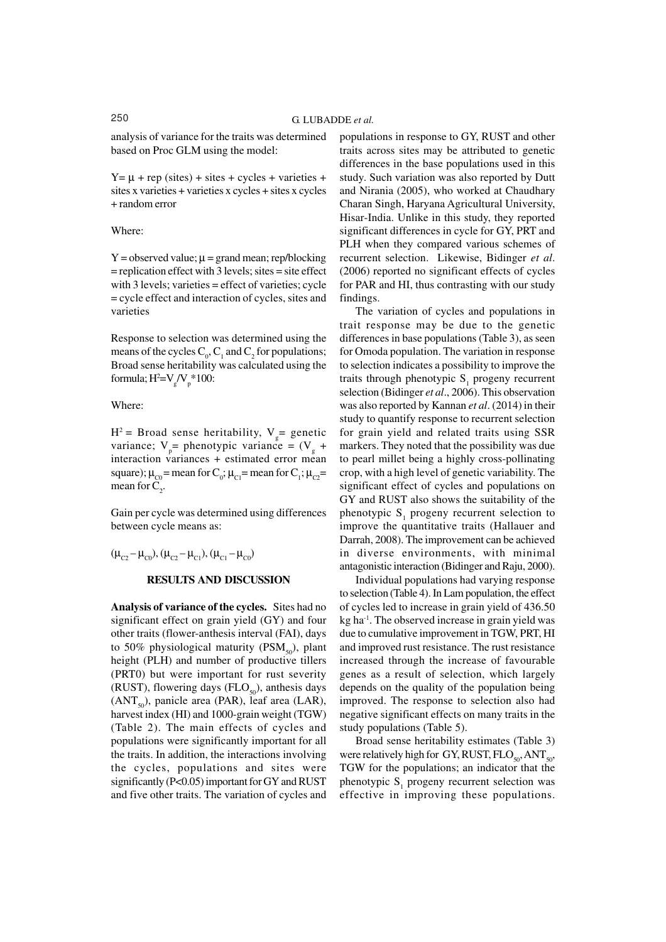analysis of variance for the traits was determined based on Proc GLM using the model:

 $Y = \mu + rep$  (sites) + sites + cycles + varieties + sites x varieties + varieties x cycles + sites x cycles + random error

Where:

 $Y =$  observed value;  $\mu =$  grand mean; rep/blocking = replication effect with 3 levels; sites = site effect with 3 levels; varieties = effect of varieties; cycle = cycle effect and interaction of cycles, sites and varieties

Response to selection was determined using the means of the cycles  $C_0$ ,  $C_1$  and  $C_2$  for populations; Broad sense heritability was calculated using the formula;  $H^2=V_g/V_p^*100$ :

Where:

 $H^2$  = Broad sense heritability,  $V_g$  = genetic variance;  $V_p$  = phenotypic variance =  $(V_g +$ interaction variances + estimated error mean square);  $\mu_{\text{CO}}$  = mean for C<sub>0</sub>;  $\mu_{\text{Cl}}$  = mean for C<sub>1</sub>;  $\mu_{\text{C2}}$  = mean for  $C_2$ .

Gain per cycle was determined using differences between cycle means as:

 $(\mu_{C2} - \mu_{C0}), (\mu_{C2} - \mu_{C1}), (\mu_{C1} - \mu_{C0})$ 

## **RESULTS AND DISCUSSION**

**Analysis of variance of the cycles.** Sites had no significant effect on grain yield (GY) and four other traits (flower-anthesis interval (FAI), days to 50% physiological maturity (PSM<sub>50</sub>), plant height (PLH) and number of productive tillers (PRT0) but were important for rust severity (RUST), flowering days (FLO $_{50}$ ), anthesis days  $(ANT<sub>50</sub>)$ , panicle area (PAR), leaf area (LAR), harvest index (HI) and 1000-grain weight (TGW) (Table 2). The main effects of cycles and populations were significantly important for all the traits. In addition, the interactions involving the cycles, populations and sites were significantly (P<0.05) important for GY and RUST and five other traits. The variation of cycles and

populations in response to GY, RUST and other traits across sites may be attributed to genetic differences in the base populations used in this study. Such variation was also reported by Dutt and Nirania (2005), who worked at Chaudhary Charan Singh, Haryana Agricultural University, Hisar-India. Unlike in this study, they reported significant differences in cycle for GY, PRT and PLH when they compared various schemes of recurrent selection. Likewise, Bidinger *et al*. (2006) reported no significant effects of cycles for PAR and HI, thus contrasting with our study findings.

The variation of cycles and populations in trait response may be due to the genetic differences in base populations (Table 3), as seen for Omoda population. The variation in response to selection indicates a possibility to improve the traits through phenotypic  $S_1$  progeny recurrent selection (Bidinger *et al*., 2006). This observation was also reported by Kannan *et al*. (2014) in their study to quantify response to recurrent selection for grain yield and related traits using SSR markers. They noted that the possibility was due to pearl millet being a highly cross-pollinating crop, with a high level of genetic variability. The significant effect of cycles and populations on GY and RUST also shows the suitability of the phenotypic  $S_1$  progeny recurrent selection to improve the quantitative traits (Hallauer and Darrah, 2008). The improvement can be achieved in diverse environments, with minimal antagonistic interaction (Bidinger and Raju, 2000).

Individual populations had varying response to selection (Table 4). In Lam population, the effect of cycles led to increase in grain yield of 436.50  $kg$  ha<sup>-1</sup>. The observed increase in grain yield was due to cumulative improvement in TGW, PRT, HI and improved rust resistance. The rust resistance increased through the increase of favourable genes as a result of selection, which largely depends on the quality of the population being improved. The response to selection also had negative significant effects on many traits in the study populations (Table 5).

Broad sense heritability estimates (Table 3) were relatively high for GY, RUST,  $FLO_{50}$ , ANT<sub>50</sub>, TGW for the populations; an indicator that the phenotypic  $S_1$  progeny recurrent selection was effective in improving these populations.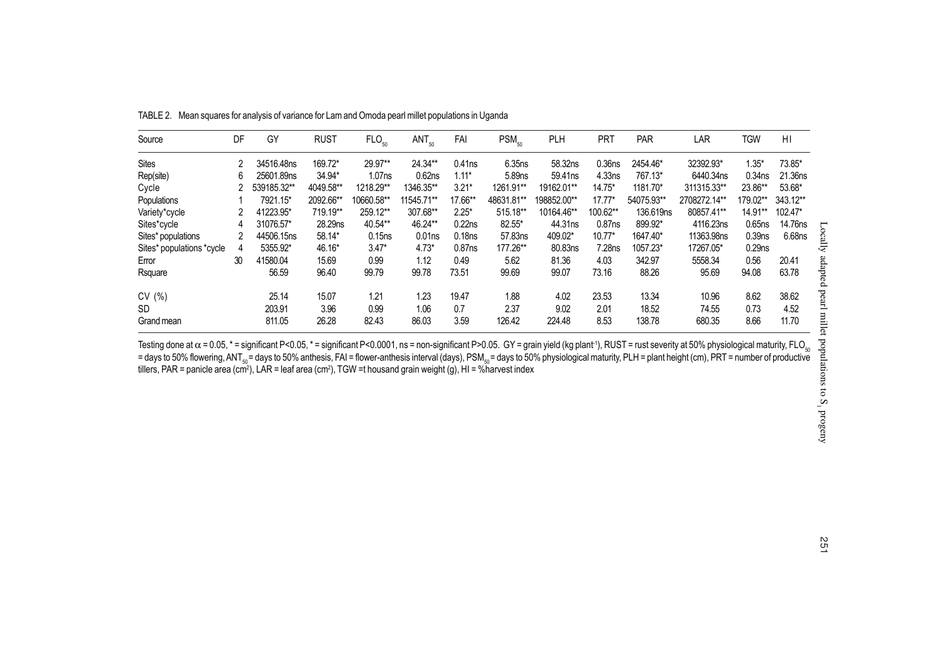| Source                    | DF | GY          | <b>RUST</b> | FLO <sub>50</sub>  | $ANT_{50}$         | FAI                | $PSM_{50}$         | <b>PLH</b>  | <b>PRT</b>         | PAR        | LAR          | TGW                | H <sub>1</sub> |
|---------------------------|----|-------------|-------------|--------------------|--------------------|--------------------|--------------------|-------------|--------------------|------------|--------------|--------------------|----------------|
| <b>Sites</b>              | 2  | 34516.48ns  | 169.72*     | 29.97**            | 24.34**            | $0.41$ ns          | 6.35 <sub>ns</sub> | 58.32ns     | 0.36 <sub>ns</sub> | 2454.46*   | 32392.93*    | $1.35*$            | 73.85*         |
| Rep(site)                 | 6  | 25601.89ns  | 34.94*      | 1.07 <sub>ns</sub> | 0.62ns             | $1.11*$            | 5.89 <sub>ns</sub> | 59.41ns     | 4.33ns             | 767.13*    | 6440.34ns    | 0.34 <sub>ns</sub> | 21.36ns        |
| Cycle                     |    | 539185.32** | 4049.58**   | 1218.29**          | 1346.35**          | $3.21*$            | 1261.91**          | 19162.01**  | $14.75*$           | 1181.70*   | 311315.33**  | 23.86**            | 53.68*         |
| Populations               |    | 7921.15*    | 2092.66**   | 10660.58**         | 11545.71**         | 17.66**            | 48631.81**         | 198852.00** | $17.77*$           | 54075.93** | 2708272.14** | 179.02**           | 343.12**       |
| Variety*cycle             |    | 41223.95*   | 719.19**    | 259.12**           | 307.68**           | $2.25*$            | 515.18**           | 10164.46**  | 100.62**           | 136.619ns  | 80857.41**   | 14.91**            | 102.47*        |
| Sites*cycle               | 4  | 31076.57*   | 28.29ns     | 40.54**            | 46.24**            | 0.22ns             | 82.55*             | 44.31ns     | $0.87$ ns          | 899.92*    | 4116.23ns    | 0.65ns             | 14.76ns        |
| Sites* populations        |    | 44506.15ns  | 58.14*      | 0.15ns             | 0.01 <sub>ns</sub> | 0.18 <sub>ns</sub> | 57.83ns            | 409.02*     | $10.77*$           | 1647.40*   | 11363.98ns   | 0.39 <sub>ns</sub> | 6.68ns         |
| Sites* populations *cycle | 4  | 5355.92*    | 46.16*      | $3.47*$            | $4.73*$            | $0.87$ ns          | 177.26**           | 80.83ns     | 7.28 <sub>ns</sub> | 1057.23*   | 17267.05*    | 0.29 <sub>ns</sub> |                |
| Error                     | 30 | 41580.04    | 15.69       | 0.99               | 1.12               | 0.49               | 5.62               | 81.36       | 4.03               | 342.97     | 5558.34      | 0.56               | 20.41          |
| Rsquare                   |    | 56.59       | 96.40       | 99.79              | 99.78              | 73.51              | 99.69              | 99.07       | 73.16              | 88.26      | 95.69        | 94.08              | 63.78          |
| CV(%)                     |    | 25.14       | 15.07       | 1.21               | 1.23               | 19.47              | 1.88               | 4.02        | 23.53              | 13.34      | 10.96        | 8.62               | 38.62          |
| <b>SD</b>                 |    | 203.91      | 3.96        | 0.99               | 1.06               | 0.7                | 2.37               | 9.02        | 2.01               | 18.52      | 74.55        | 0.73               | 4.52           |
| Grand mean                |    | 811.05      | 26.28       | 82.43              | 86.03              | 3.59               | 126.42             | 224.48      | 8.53               | 138.78     | 680.35       | 8.66               | 11.70          |

TABLE 2. Mean squares for analysis of variance for Lam and Omoda pearl millet populations in Uganda

Testing done at α = 0.05, \* = significant P<0.05, \* = significant P<0.0001, ns = non-significant P>0.05. GY = grain yield (kg plant1), RUST = rust severity at 50% physiological maturity, FLO<sub>so</sub><br>= days to 50% flowering,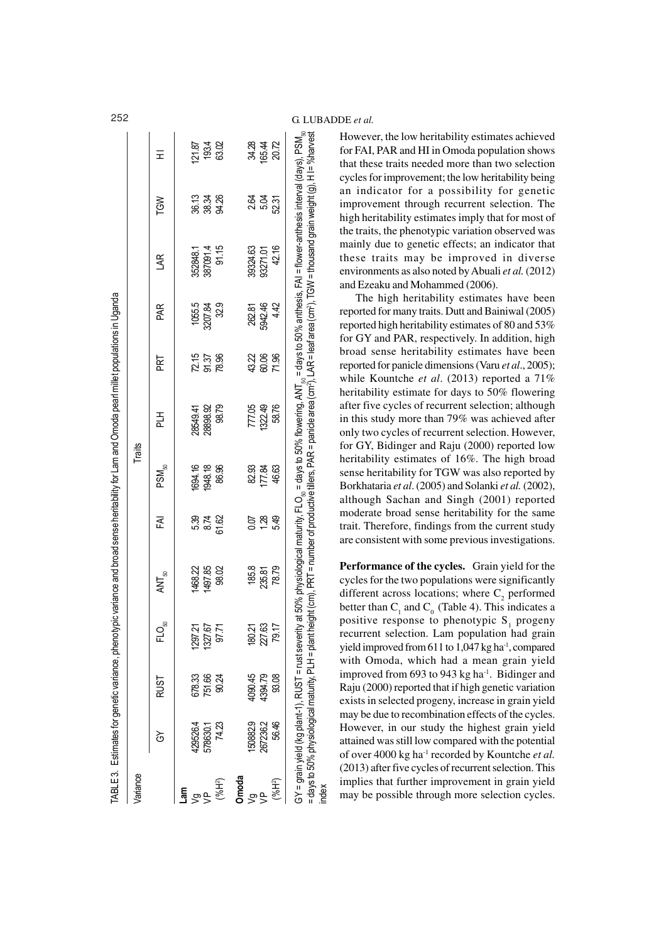| Variance             |                                                   |                    |         |                                                                                                                                                                                                                                                                                                                                                                                      |                  | Traits            |                   |                      |                   |          |                       |                          |
|----------------------|---------------------------------------------------|--------------------|---------|--------------------------------------------------------------------------------------------------------------------------------------------------------------------------------------------------------------------------------------------------------------------------------------------------------------------------------------------------------------------------------------|------------------|-------------------|-------------------|----------------------|-------------------|----------|-----------------------|--------------------------|
|                      | $\mathfrak{S}$                                    | RUST               | ຸສ<br>근 | $\overline{\mathsf{A}}\mathsf{N}\mathsf{T}_\mathsf{S0}$                                                                                                                                                                                                                                                                                                                              | FAI              | PSM <sub>50</sub> | 곰                 | PRT                  | PAR,              | SR.      | <b>NS1</b>            | Ŧ                        |
| me"<br>ల్గా          | 429526.4                                          | 678.33             | 1297.21 | 1468.22                                                                                                                                                                                                                                                                                                                                                                              |                  | 1694.16           | 28549.41          |                      |                   | 352848.1 |                       | 121.87                   |
| $\frac{a}{b}$        | 578630.1                                          | 751.66             | 1327.67 | 1497.85                                                                                                                                                                                                                                                                                                                                                                              | ಕ್ಷ<br>ಜನಪ<br>ವಹ | 1948.18           | 28898.92          | 75<br>95.35<br>78.95 | 1055.5<br>3207.84 | 387091.4 | ភូង<br>ខេត្ត<br>ខេត្ត | 193.4<br>63.02           |
| $(*6H^2)$            | 74.23                                             | 90.24              | 97.71   | 98.02                                                                                                                                                                                                                                                                                                                                                                                |                  | 86.96             | 98.79             |                      | 32.9              | 91.15    |                       |                          |
| Omoda                |                                                   |                    |         |                                                                                                                                                                                                                                                                                                                                                                                      |                  |                   |                   |                      |                   |          |                       |                          |
|                      | 150882.9                                          |                    | 180.21  | 185.8                                                                                                                                                                                                                                                                                                                                                                                | 0.07             | 82 84<br>177 84   |                   |                      |                   | 39324.63 |                       |                          |
| $\frac{p}{\sqrt{p}}$ | 267236.2                                          | 4090.45<br>4394.79 | 227.63  | 235.81                                                                                                                                                                                                                                                                                                                                                                               | 1.28             |                   | 777.05<br>1322.49 | 43<br>60.06          | 262.81<br>5942.46 | 93271.01 | ಕ್ಷ ಕ್ಷ<br>ಸ್ಪ್ರ      | 34.42<br>165.42<br>20.72 |
| (%H <sup>2</sup> )   | 56.46                                             | 93.08              | .<br>ෆ  | 78.79                                                                                                                                                                                                                                                                                                                                                                                | 5.49             | 46.63             | 58.76             | 71.96                | 4.42              | 42.16    | 52.31                 |                          |
|                      | = days to 50% physiological maturity, PLH = plant |                    |         | GY = grain yield (kg plant-1), RUST = rust severity at 50% physiological maturity, FLO <sub>sa</sub> = days to 50% flowering, ANT <sub>sa</sub> = days to 50% anthesis, FAI = flower-anthesis interval (days), PSM <sub>sa</sub><br>height (cm), PRT = number of productive tillers, PAR = panicle area (cm?), LAR = leaf area (cm?), TGW = thousand grain weight (g), H l= %harvest |                  |                   |                   |                      |                   |          |                       |                          |

However, the low heritability estimates achieved for FAI, PAR and HI in Omoda population shows that these traits needed more than two selection cycles for improvement; the low heritability being an indicator for a possibility for genetic improvement through recurrent selection. The high heritability estimates imply that for most of the traits, the phenotypic variation observed was mainly due to genetic effects; an indicator that these traits may be improved in diverse environments as also noted by Abuali *et al.* (2012) and Ezeaku and Mohammed (2006).

The high heritability estimates have been reported for many traits. Dutt and Bainiwal (2005) reported high heritability estimates of 80 and 53% for GY and PAR, respectively. In addition, high broad sense heritability estimates have been reported for panicle dimensions (Varu *et al*., 2005); while Kountche *et al*. (2013) reported a 71% heritability estimate for days to 50% flowering after five cycles of recurrent selection; although in this study more than 79% was achieved after only two cycles of recurrent selection. However, for GY, Bidinger and Raju (2000) reported low heritability estimates of 16%. The high broad sense heritability for TGW was also reported by Borkhataria *et al*. (2005) and Solanki *et al.* (2002), although Sachan and Singh (2001) reported moderate broad sense heritability for the same trait. Therefore, findings from the current study are consistent with some previous investigations.

**Performance of the cycles.** Grain yield for the cycles for the two populations were significantly different across locations; where  $C_2$  performed better than  $C_1$  and  $C_0$  (Table 4). This indicates a positive response to phenotypic  $S_1$  progeny recurrent selection. Lam population had grain yield improved from 611 to 1,047 kg ha<sup>1</sup>, compared with Omoda, which had a mean grain yield improved from 693 to 943 kg ha $^{-1}$ . Bidinger and Raju (2000) reported that if high genetic variation exists in selected progeny, increase in grain yield may be due to recombination effects of the cycles. However, in our study the highest grain yield attained was still low compared with the potential of over 4000 kg ha-1 recorded by Kountche *et al.* (2013) after five cycles of recurrent selection. This implies that further improvement in grain yield may be possible through more selection cycles.

# 252 G. LUBADDE *et al.*

index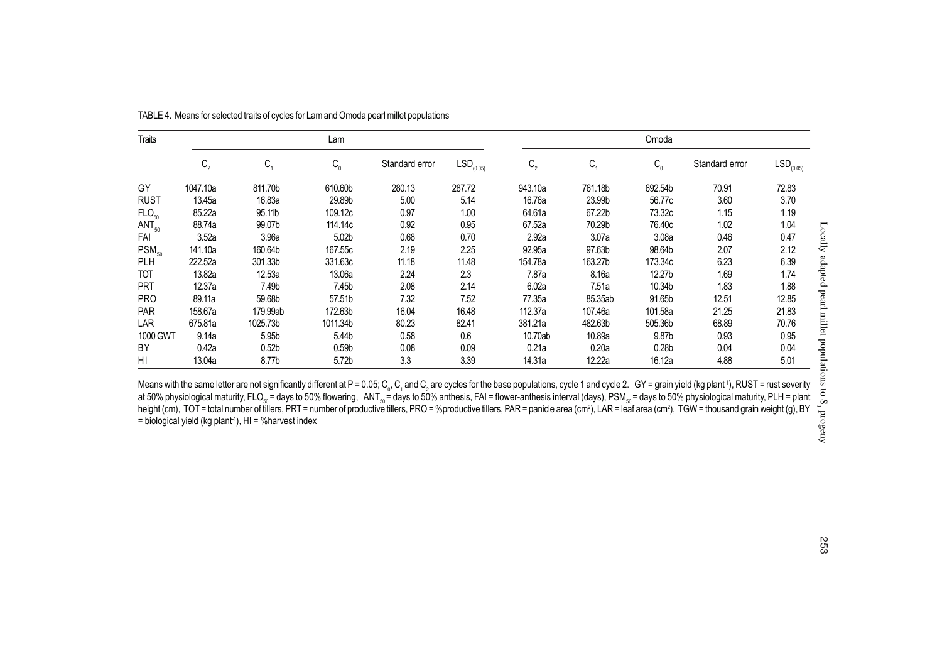| Traits            |          |                   | Lam                     |                |                |         |         | Omoda             |                |                |
|-------------------|----------|-------------------|-------------------------|----------------|----------------|---------|---------|-------------------|----------------|----------------|
|                   | $C_{2}$  | $C_{1}$           | $\mathtt{C}_\mathtt{o}$ | Standard error | $LSD_{(0.05)}$ | $C_{2}$ | $C_1$   | $C_{0}$           | Standard error | $LSD_{(0.05)}$ |
| GY                | 1047.10a | 811.70b           | 610.60b                 | 280.13         | 287.72         | 943.10a | 761.18b | 692.54b           | 70.91          | 72.83          |
| <b>RUST</b>       | 13.45a   | 16.83a            | 29.89b                  | 5.00           | 5.14           | 16.76a  | 23.99b  | 56.77c            | 3.60           | 3.70           |
| FLO <sub>50</sub> | 85.22a   | 95.11b            | 109.12c                 | 0.97           | 1.00           | 64.61a  | 67.22b  | 73.32c            | 1.15           | 1.19           |
| $ANT_{50}$        | 88.74a   | 99.07b            | 114.14c                 | 0.92           | 0.95           | 67.52a  | 70.29b  | 76.40c            | 1.02           | 1.04           |
| FAI               | 3.52a    | 3.96a             | 5.02b                   | 0.68           | 0.70           | 2.92a   | 3.07a   | 3.08a             | 0.46           | 0.47           |
| $PSM_{50}$        | 141.10a  | 160.64b           | 167.55c                 | 2.19           | 2.25           | 92.95a  | 97.63b  | 98.64b            | 2.07           | 2.12           |
| <b>PLH</b>        | 222.52a  | 301.33b           | 331.63c                 | 11.18          | 11.48          | 154.78a | 163.27b | 173.34c           | 6.23           | 6.39           |
| TOT               | 13.82a   | 12.53a            | 13.06a                  | 2.24           | 2.3            | 7.87a   | 8.16a   | 12.27b            | 1.69           | 1.74           |
| <b>PRT</b>        | 12.37a   | 7.49b             | 7.45b                   | 2.08           | 2.14           | 6.02a   | 7.51a   | 10.34b            | 1.83           | 1.88           |
| <b>PRO</b>        | 89.11a   | 59.68b            | 57.51b                  | 7.32           | 7.52           | 77.35a  | 85.35ab | 91.65b            | 12.51          | 12.85          |
| <b>PAR</b>        | 158.67a  | 179.99ab          | 172.63b                 | 16.04          | 16.48          | 112.37a | 107.46a | 101.58a           | 21.25          | 21.83          |
| LAR               | 675.81a  | 1025.73b          | 1011.34b                | 80.23          | 82.41          | 381.21a | 482.63b | 505.36b           | 68.89          | 70.76          |
| 1000 GWT          | 9.14a    | 5.95b             | 5.44b                   | 0.58           | 0.6            | 10.70ab | 10.89a  | 9.87b             | 0.93           | 0.95           |
| BY                | 0.42a    | 0.52 <sub>b</sub> | 0.59 <sub>b</sub>       | 0.08           | 0.09           | 0.21a   | 0.20a   | 0.28 <sub>b</sub> | 0.04           | 0.04           |
| ΗI                | 13.04a   | 8.77b             | 5.72b                   | 3.3            | 3.39           | 14.31a  | 12.22a  | 16.12a            | 4.88           | 5.01           |

TABLE 4. Means for selected traits of cycles for Lam and Omoda pearl millet populations

Means with the same letter are not significantly different at P = 0.05; C<sub>o</sub>, C<sub>1</sub> and C<sub>2</sub> are cycles for the base populations, cycle 1 and cycle 2. GY = grain yield (kg plant<sup>-</sup>), RUST = rust severity<br>at 50% physiologi height (cm), TOT = total number of tillers, PRT = number of productive tillers, PRO = %productive tillers, PAR = panicle area (cm<sup>2</sup>), LAR = leaf area (cm<sup>2</sup>), TGW = thousand grain weight (g), BY  $=$  biological yield (kg plant<sup>1</sup>), HI = %harvest index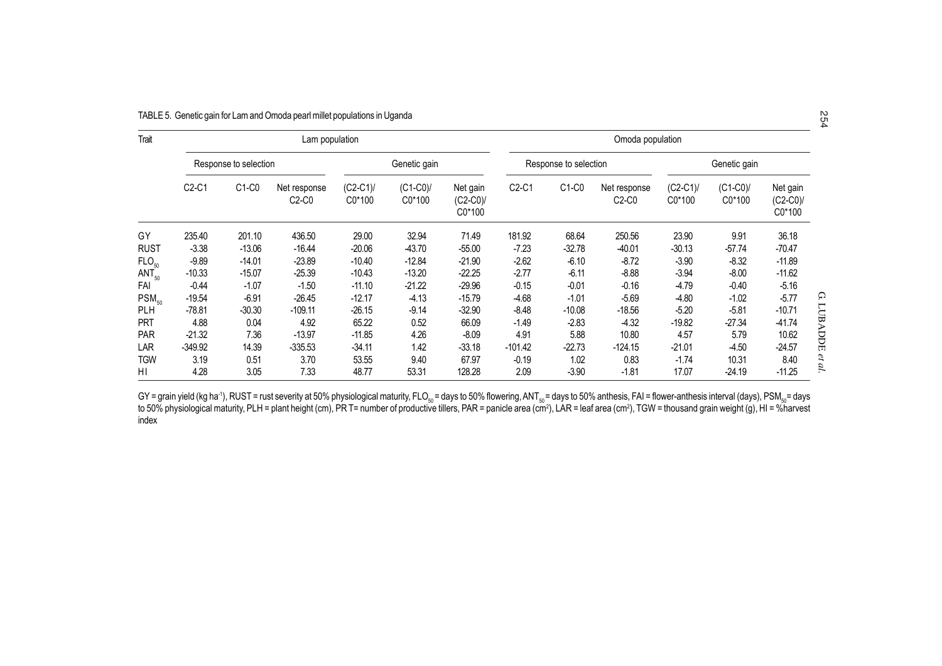|                   |                                |                       | TABLE 5. Genetic gain for Lam and Omoda pearl millet populations in Uganda |                     |                     |                                 |                  |                       |                         |                     |                     |                                 | N<br>54       |
|-------------------|--------------------------------|-----------------------|----------------------------------------------------------------------------|---------------------|---------------------|---------------------------------|------------------|-----------------------|-------------------------|---------------------|---------------------|---------------------------------|---------------|
| Trait             |                                |                       | Lam population                                                             |                     |                     |                                 | Omoda population |                       |                         |                     |                     |                                 |               |
|                   |                                | Response to selection |                                                                            |                     | Genetic gain        |                                 |                  | Response to selection |                         |                     | Genetic gain        |                                 |               |
|                   | C <sub>2</sub> -C <sub>1</sub> | $C1-C0$               | Net response<br>$C2-C0$                                                    | $(C2-C1)$<br>C0*100 | $(C1-C0)$<br>C0*100 | Net gain<br>$(C2-C0)$<br>C0*100 | $C2-C1$          | $C1-C0$               | Net response<br>$C2-C0$ | $(C2-C1)$<br>C0*100 | $(C1-C0)$<br>C0*100 | Net gain<br>$(C2-C0)$<br>C0*100 |               |
| GY                | 235.40                         | 201.10                | 436.50                                                                     | 29.00               | 32.94               | 71.49                           | 181.92           | 68.64                 | 250.56                  | 23.90               | 9.91                | 36.18                           |               |
| <b>RUST</b>       | $-3.38$                        | $-13.06$              | $-16.44$                                                                   | $-20.06$            | -43.70              | $-55.00$                        | $-7.23$          | $-32.78$              | $-40.01$                | $-30.13$            | $-57.74$            | $-70.47$                        |               |
| FLO <sub>50</sub> | $-9.89$                        | $-14.01$              | $-23.89$                                                                   | $-10.40$            | $-12.84$            | $-21.90$                        | $-2.62$          | $-6.10$               | $-8.72$                 | $-3.90$             | $-8.32$             | $-11.89$                        |               |
| $ANT_{50}$        | $-10.33$                       | $-15.07$              | $-25.39$                                                                   | $-10.43$            | $-13.20$            | $-22.25$                        | $-2.77$          | $-6.11$               | $-8.88$                 | $-3.94$             | $-8.00$             | $-11.62$                        |               |
| FAI               | $-0.44$                        | $-1.07$               | $-1.50$                                                                    | $-11.10$            | $-21.22$            | $-29.96$                        | $-0.15$          | $-0.01$               | $-0.16$                 | $-4.79$             | $-0.40$             | $-5.16$                         |               |
| $PSM_{50}$        | $-19.54$                       | $-6.91$               | -26.45                                                                     | $-12.17$            | $-4.13$             | $-15.79$                        | $-4.68$          | $-1.01$               | $-5.69$                 | $-4.80$             | $-1.02$             | $-5.77$                         | Ω             |
| <b>PLH</b>        | $-78.81$                       | $-30.30$              | $-109.11$                                                                  | $-26.15$            | $-9.14$             | $-32.90$                        | $-8.48$          | $-10.08$              | $-18.56$                | $-5.20$             | $-5.81$             | $-10.71$                        |               |
| <b>PRT</b>        | 4.88                           | 0.04                  | 4.92                                                                       | 65.22               | 0.52                | 66.09                           | $-1.49$          | $-2.83$               | $-4.32$                 | $-19.82$            | -27.34              | $-41.74$                        |               |
| <b>PAR</b>        | $-21.32$                       | 7.36                  | $-13.97$                                                                   | $-11.85$            | 4.26                | $-8.09$                         | 4.91             | 5.88                  | 10.80                   | 4.57                | 5.79                | 10.62                           | LUBADDE       |
| LAR               | $-349.92$                      | 14.39                 | $-335.53$                                                                  | $-34.11$            | 1.42                | $-33.18$                        | $-101.42$        | $-22.73$              | $-124.15$               | $-21.01$            | -4.50               | $-24.57$                        |               |
| TGW               | 3.19                           | 0.51                  | 3.70                                                                       | 53.55               | 9.40                | 67.97                           | $-0.19$          | 1.02                  | 0.83                    | $-1.74$             | 10.31               | 8.40                            | $\mathcal{E}$ |
| ΗI                | 4.28                           | 3.05                  | 7.33                                                                       | 48.77               | 53.31               | 128.28                          | 2.09             | $-3.90$               | $-1.81$                 | 17.07               | -24.19              | $-11.25$                        | d             |

GY = grain yield (kg ha<sup>.</sup>'), RUST = rust severity at 50% physiological maturity, FLO<sub>so</sub> = days to 50% flowering, ANT<sub>so</sub> = days to 50% anthesis, FAI = flower-anthesis interval (days), PSM<sub>so</sub>= days<br>to 50% physiological m index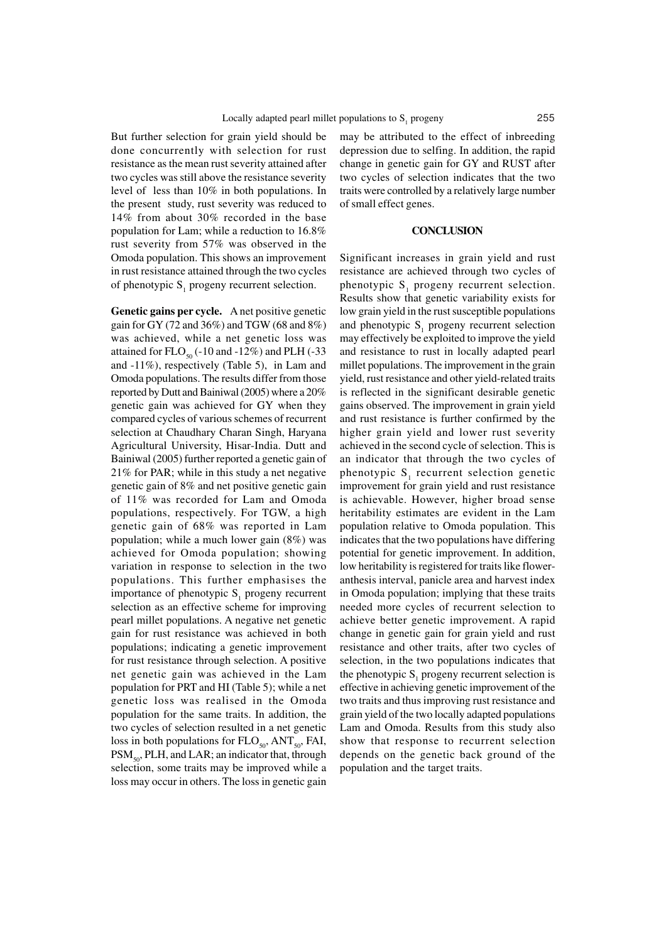But further selection for grain yield should be done concurrently with selection for rust resistance as the mean rust severity attained after two cycles was still above the resistance severity level of less than 10% in both populations. In the present study, rust severity was reduced to 14% from about 30% recorded in the base population for Lam; while a reduction to 16.8% rust severity from 57% was observed in the Omoda population. This shows an improvement in rust resistance attained through the two cycles of phenotypic  $S_1$  progeny recurrent selection.

**Genetic gains per cycle.** A net positive genetic gain for GY (72 and 36%) and TGW (68 and 8%) was achieved, while a net genetic loss was attained for  $FLO_{50}$  (-10 and -12%) and PLH (-33 and -11%), respectively (Table 5), in Lam and Omoda populations. The results differ from those reported by Dutt and Bainiwal (2005) where a 20% genetic gain was achieved for GY when they compared cycles of various schemes of recurrent selection at Chaudhary Charan Singh, Haryana Agricultural University, Hisar-India. Dutt and Bainiwal (2005) further reported a genetic gain of 21% for PAR; while in this study a net negative genetic gain of 8% and net positive genetic gain of 11% was recorded for Lam and Omoda populations, respectively. For TGW, a high genetic gain of 68% was reported in Lam population; while a much lower gain (8%) was achieved for Omoda population; showing variation in response to selection in the two populations. This further emphasises the importance of phenotypic  $S_1$  progeny recurrent selection as an effective scheme for improving pearl millet populations. A negative net genetic gain for rust resistance was achieved in both populations; indicating a genetic improvement for rust resistance through selection. A positive net genetic gain was achieved in the Lam population for PRT and HI (Table 5); while a net genetic loss was realised in the Omoda population for the same traits. In addition, the two cycles of selection resulted in a net genetic loss in both populations for  $FLO_{50}$ , ANT<sub>50</sub>, FAI,  $PSM<sub>so</sub>$ , PLH, and LAR; an indicator that, through selection, some traits may be improved while a loss may occur in others. The loss in genetic gain

may be attributed to the effect of inbreeding depression due to selfing. In addition, the rapid change in genetic gain for GY and RUST after two cycles of selection indicates that the two traits were controlled by a relatively large number of small effect genes.

#### **CONCLUSION**

Significant increases in grain yield and rust resistance are achieved through two cycles of phenotypic  $S_1$  progeny recurrent selection. Results show that genetic variability exists for low grain yield in the rust susceptible populations and phenotypic  $S_1$  progeny recurrent selection may effectively be exploited to improve the yield and resistance to rust in locally adapted pearl millet populations. The improvement in the grain yield, rust resistance and other yield-related traits is reflected in the significant desirable genetic gains observed. The improvement in grain yield and rust resistance is further confirmed by the higher grain yield and lower rust severity achieved in the second cycle of selection. This is an indicator that through the two cycles of phenotypic  $S_1$  recurrent selection genetic improvement for grain yield and rust resistance is achievable. However, higher broad sense heritability estimates are evident in the Lam population relative to Omoda population. This indicates that the two populations have differing potential for genetic improvement. In addition, low heritability is registered for traits like floweranthesis interval, panicle area and harvest index in Omoda population; implying that these traits needed more cycles of recurrent selection to achieve better genetic improvement. A rapid change in genetic gain for grain yield and rust resistance and other traits, after two cycles of selection, in the two populations indicates that the phenotypic  $S_1$  progeny recurrent selection is effective in achieving genetic improvement of the two traits and thus improving rust resistance and grain yield of the two locally adapted populations Lam and Omoda. Results from this study also show that response to recurrent selection depends on the genetic back ground of the population and the target traits.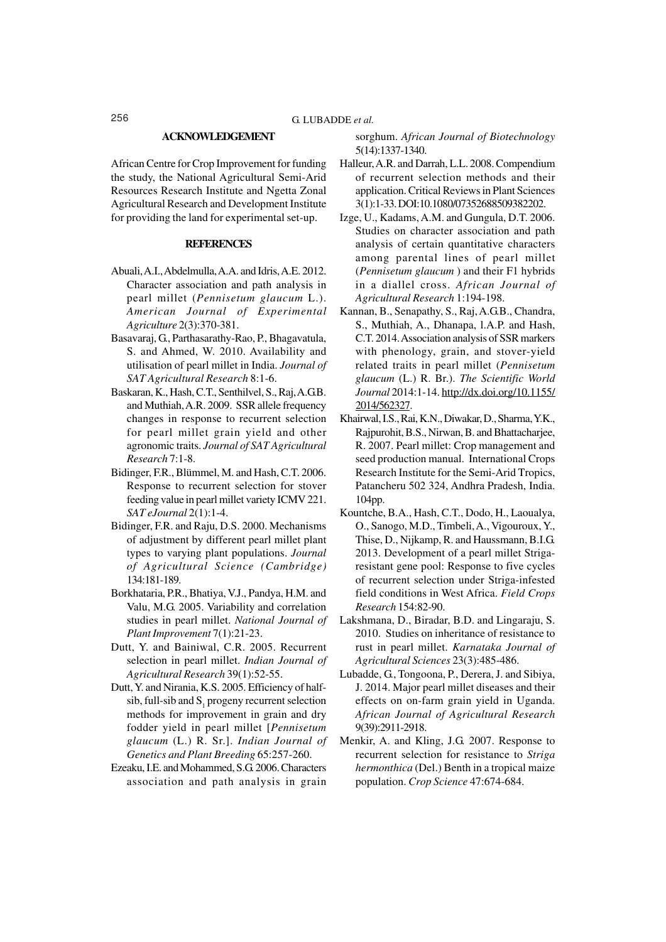#### **ACKNOWLEDGEMENT**

African Centre for Crop Improvement for funding the study, the National Agricultural Semi-Arid Resources Research Institute and Ngetta Zonal Agricultural Research and Development Institute for providing the land for experimental set-up.

#### **REFERENCES**

- Abuali, A.I., Abdelmulla, A.A. and Idris, A.E. 2012. Character association and path analysis in pearl millet (*Pennisetum glaucum* L.). *American Journal of Experimental Agriculture* 2(3):370-381.
- Basavaraj, G., Parthasarathy-Rao, P., Bhagavatula, S. and Ahmed, W. 2010. Availability and utilisation of pearl millet in India. *Journal of SAT Agricultural Research* 8:1-6.
- Baskaran, K., Hash, C.T., Senthilvel, S., Raj, A.G.B. and Muthiah, A.R. 2009. SSR allele frequency changes in response to recurrent selection for pearl millet grain yield and other agronomic traits. *Journal of SAT Agricultural Research* 7:1-8.
- Bidinger, F.R., Blümmel, M. and Hash, C.T. 2006. Response to recurrent selection for stover feeding value in pearl millet variety ICMV 221. *SAT eJournal* 2(1):1-4.
- Bidinger, F.R. and Raju, D.S. 2000. Mechanisms of adjustment by different pearl millet plant types to varying plant populations. *Journal of Agricultural Science (Cambridge)* 134:181-189.
- Borkhataria, P.R., Bhatiya, V.J., Pandya, H.M. and Valu, M.G. 2005. Variability and correlation studies in pearl millet. *National Journal of Plant Improvement* 7(1):21-23.
- Dutt, Y. and Bainiwal, C.R. 2005. Recurrent selection in pearl millet. *Indian Journal of Agricultural Research* 39(1):52-55.
- Dutt, Y. and Nirania, K.S. 2005. Efficiency of halfsib, full-sib and  $S_1$  progeny recurrent selection methods for improvement in grain and dry fodder yield in pearl millet [*Pennisetum glaucum* (L.) R. Sr.]. *Indian Journal of Genetics and Plant Breeding* 65:257-260.
- Ezeaku, I.E. and Mohammed, S.G. 2006. Characters association and path analysis in grain

sorghum. *African Journal of Biotechnology* 5(14):1337-1340.

- Halleur, A.R. and Darrah, L.L. 2008. Compendium of recurrent selection methods and their application. Critical Reviews in Plant Sciences 3(1):1-33. DOI:10.1080/07352688509382202.
- Izge, U., Kadams, A.M. and Gungula, D.T. 2006. Studies on character association and path analysis of certain quantitative characters among parental lines of pearl millet (*Pennisetum glaucum* ) and their F1 hybrids in a diallel cross. *African Journal of Agricultural Research* 1:194-198.
- Kannan, B., Senapathy, S., Raj, A.G.B., Chandra, S., Muthiah, A., Dhanapa, l.A.P. and Hash, C.T. 2014. Association analysis of SSR markers with phenology, grain, and stover-yield related traits in pearl millet (*Pennisetum glaucum* (L.) R. Br.). *The Scientific World Journal* 2014:1-14. http://dx.doi.org/10.1155/ 2014/562327.
- Khairwal, I.S., Rai, K.N., Diwakar, D., Sharma, Y.K., Rajpurohit, B.S., Nirwan, B. and Bhattacharjee, R. 2007. Pearl millet: Crop management and seed production manual. International Crops Research Institute for the Semi-Arid Tropics, Patancheru 502 324, Andhra Pradesh, India. 104pp.
- Kountche, B.A., Hash, C.T., Dodo, H., Laoualya, O., Sanogo, M.D., Timbeli, A., Vigouroux, Y., Thise, D., Nijkamp, R. and Haussmann, B.I.G. 2013. Development of a pearl millet Strigaresistant gene pool: Response to five cycles of recurrent selection under Striga-infested field conditions in West Africa. *Field Crops Research* 154:82-90.
- Lakshmana, D., Biradar, B.D. and Lingaraju, S. 2010. Studies on inheritance of resistance to rust in pearl millet. *Karnataka Journal of Agricultural Sciences* 23(3):485-486.
- Lubadde, G., Tongoona, P., Derera, J. and Sibiya, J. 2014. Major pearl millet diseases and their effects on on-farm grain yield in Uganda. *African Journal of Agricultural Research* 9(39):2911-2918.
- Menkir, A. and Kling, J.G. 2007. Response to recurrent selection for resistance to *Striga hermonthica* (Del.) Benth in a tropical maize population. *Crop Science* 47:674-684.